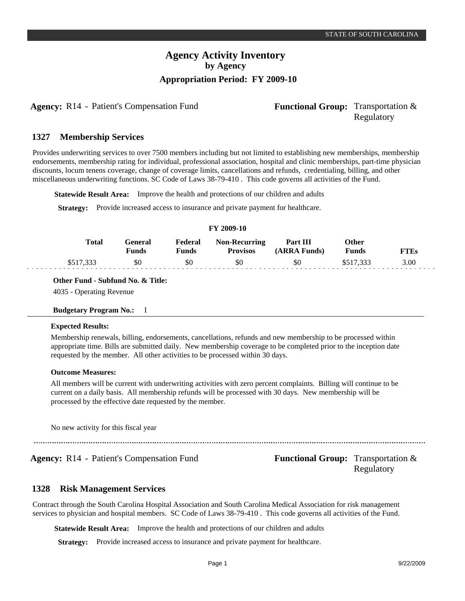# **Agency Activity Inventory by Agency Appropriation Period: FY 2009-10**

**Agency:** R14 - Patient's Compensation Fund **Functional Group:** Transportation &

# Regulatory

#### **Membership Services 1327**

Provides underwriting services to over 7500 members including but not limited to establishing new memberships, membership endorsements, membership rating for individual, professional association, hospital and clinic memberships, part-time physician discounts, locum tenens coverage, change of coverage limits, cancellations and refunds, credentialing, billing, and other miscellaneous underwriting functions. SC Code of Laws 38-79-410 . This code governs all activities of the Fund.

**Statewide Result Area:** Improve the health and protections of our children and adults

**Strategy:** Provide increased access to insurance and private payment for healthcare.

|           |                         |                         | FY 2009-10                       |                          |                |             |
|-----------|-------------------------|-------------------------|----------------------------------|--------------------------|----------------|-------------|
| Total     | General<br><b>Funds</b> | Federal<br><b>Funds</b> | Non-Recurring<br><b>Provisos</b> | Part III<br>(ARRA Funds) | Other<br>Funds | <b>FTEs</b> |
| \$517,333 | \$0                     | \$0                     | \$0                              | \$0                      | \$517.333      | 3.00        |

**Other Fund - Subfund No. & Title:**

4035 - Operating Revenue

#### **Budgetary Program No.:** I

#### **Expected Results:**

Membership renewals, billing, endorsements, cancellations, refunds and new membership to be processed within appropriate time. Bills are submitted daily. New membership coverage to be completed prior to the inception date requested by the member. All other activities to be processed within 30 days.

#### **Outcome Measures:**

All members will be current with underwriting activities with zero percent complaints. Billing will continue to be current on a daily basis. All membership refunds will be processed with 30 days. New membership will be processed by the effective date requested by the member.

No new activity for this fiscal year

Agency: R14 - Patient's Compensation Fund Functional Group: Transportation & Regulatory

#### **Risk Management Services 1328**

Contract through the South Carolina Hospital Association and South Carolina Medical Association for risk management services to physician and hospital members. SC Code of Laws 38-79-410 . This code governs all activities of the Fund.

**Statewide Result Area:** Improve the health and protections of our children and adults

**Strategy:** Provide increased access to insurance and private payment for healthcare.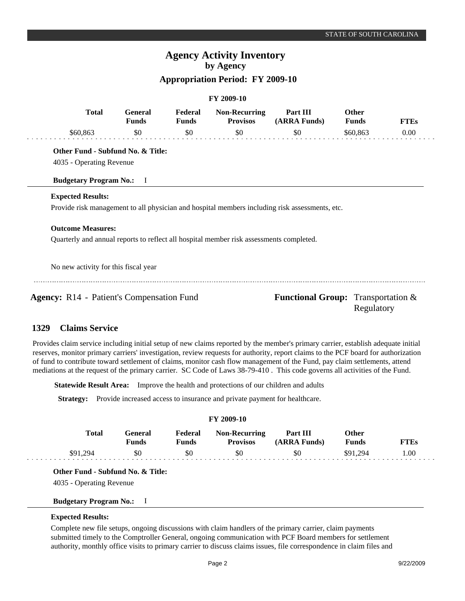# **Agency Activity Inventory by Agency**

## **Appropriation Period: FY 2009-10**

|                                                                                         |                                |                         | FY 2009-10                              |                                                                                                |                              |             |
|-----------------------------------------------------------------------------------------|--------------------------------|-------------------------|-----------------------------------------|------------------------------------------------------------------------------------------------|------------------------------|-------------|
| <b>Total</b>                                                                            | <b>General</b><br><b>Funds</b> | Federal<br><b>Funds</b> | <b>Non-Recurring</b><br><b>Provisos</b> | Part III<br>(ARRA Funds)                                                                       | <b>Other</b><br><b>Funds</b> | <b>FTEs</b> |
| \$60,863                                                                                | \$0                            | \$0                     | \$0                                     | \$0                                                                                            | \$60,863                     | $0.00\,$    |
| Other Fund - Subfund No. & Title:<br>4035 - Operating Revenue                           |                                |                         |                                         |                                                                                                |                              |             |
| <b>Budgetary Program No.:</b>                                                           | $\mathbf{I}$                   |                         |                                         |                                                                                                |                              |             |
| <b>Expected Results:</b>                                                                |                                |                         |                                         |                                                                                                |                              |             |
|                                                                                         |                                |                         |                                         | Provide risk management to all physician and hospital members including risk assessments, etc. |                              |             |
| <b>Outcome Measures:</b>                                                                |                                |                         |                                         |                                                                                                |                              |             |
| Quarterly and annual reports to reflect all hospital member risk assessments completed. |                                |                         |                                         |                                                                                                |                              |             |
| No new activity for this fiscal year                                                    |                                |                         |                                         |                                                                                                |                              |             |
| <b>Agency:</b> R14 - Patient's Compensation Fund                                        |                                |                         |                                         | <b>Functional Group:</b> Transportation &                                                      | Regulatory                   |             |

#### **Claims Service 1329**

Provides claim service including initial setup of new claims reported by the member's primary carrier, establish adequate initial reserves, monitor primary carriers' investigation, review requests for authority, report claims to the PCF board for authorization of fund to contribute toward settlement of claims, monitor cash flow management of the Fund, pay claim settlements, attend mediations at the request of the primary carrier. SC Code of Laws 38-79-410 . This code governs all activities of the Fund.

**Statewide Result Area:** Improve the health and protections of our children and adults

**Strategy:** Provide increased access to insurance and private payment for healthcare.

| <b>FY 2009-10</b> |              |                  |                  |                                         |                          |                       |             |
|-------------------|--------------|------------------|------------------|-----------------------------------------|--------------------------|-----------------------|-------------|
|                   | <b>Total</b> | General<br>Funds | Federal<br>Funds | <b>Non-Recurring</b><br><b>Provisos</b> | Part III<br>(ARRA Funds) | Other<br><b>Funds</b> | <b>FTEs</b> |
|                   | \$91.294     | \$0              | \$0              | \$0                                     | \$0                      | \$91.294              | 1.00        |

**Other Fund - Subfund No. & Title:**

4035 - Operating Revenue

#### **Budgetary Program No.:** I

## **Expected Results:**

Complete new file setups, ongoing discussions with claim handlers of the primary carrier, claim payments submitted timely to the Comptroller General, ongoing communication with PCF Board members for settlement authority, monthly office visits to primary carrier to discuss claims issues, file correspondence in claim files and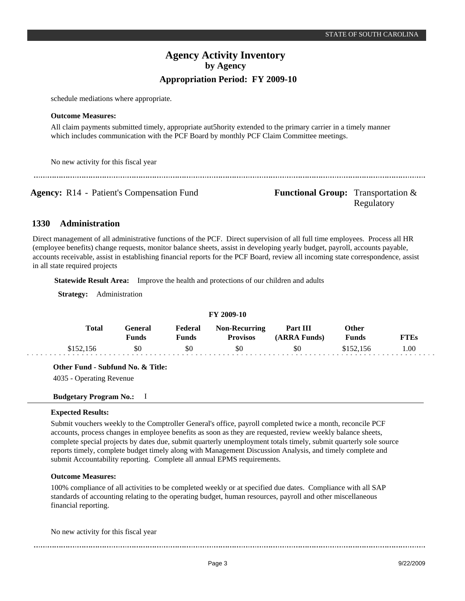# **Agency Activity Inventory by Agency Appropriation Period: FY 2009-10**

schedule mediations where appropriate.

#### **Outcome Measures:**

All claim payments submitted timely, appropriate aut5hority extended to the primary carrier in a timely manner which includes communication with the PCF Board by monthly PCF Claim Committee meetings.

No new activity for this fiscal year

**Agency:** R14 - Patient's Compensation Fund **Functional Group:** Transportation & Regulatory

#### **Administration 1330**

Direct management of all administrative functions of the PCF. Direct supervision of all full time employees. Process all HR (employee benefits) change requests, monitor balance sheets, assist in developing yearly budget, payroll, accounts payable, accounts receivable, assist in establishing financial reports for the PCF Board, review all incoming state correspondence, assist in all state required projects

**Statewide Result Area:** Improve the health and protections of our children and adults

**Strategy:** Administration

| FY 2009-10 |           |                  |                         |                                         |                                 |                       |             |  |
|------------|-----------|------------------|-------------------------|-----------------------------------------|---------------------------------|-----------------------|-------------|--|
|            | Total     | General<br>Funds | Federal<br><b>Funds</b> | <b>Non-Recurring</b><br><b>Provisos</b> | <b>Part III</b><br>(ARRA Funds) | Other<br><b>Funds</b> | <b>FTEs</b> |  |
|            | \$152,156 | \$0              | \$0                     | \$0                                     | \$0                             | \$152.156             | 1.00        |  |

**Other Fund - Subfund No. & Title:**

4035 - Operating Revenue

## **Budgetary Program No.:** I

## **Expected Results:**

Submit vouchers weekly to the Comptroller General's office, payroll completed twice a month, reconcile PCF accounts, process changes in employee benefits as soon as they are requested, review weekly balance sheets, complete special projects by dates due, submit quarterly unemployment totals timely, submit quarterly sole source reports timely, complete budget timely along with Management Discussion Analysis, and timely complete and submit Accountability reporting. Complete all annual EPMS requirements.

## **Outcome Measures:**

100% compliance of all activities to be completed weekly or at specified due dates. Compliance with all SAP standards of accounting relating to the operating budget, human resources, payroll and other miscellaneous financial reporting.

No new activity for this fiscal year

---------------------------------